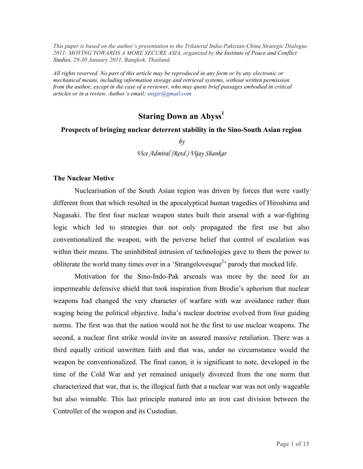*This paper is based on the author's presentation to the Trilateral India-Pakistan-China Strategic Dialogue 2011: MOVING TOWARDS A MORE SECURE ASIA, organized by the Institute of Peace and Conflict Studies, 29-30 January 2011, Bangkok, Thailand.*

*All rights reserved. No part of this article may be reproduced in any form or by any electronic or mechanical means, including information storage and retrieval systems, without written permission from the author, except in the case of a reviewer, who may quote brief passages embodied in critical articles or in a review. Author's email: snigir@gmail.com*

# **Staring Down an Abyss<sup>1</sup>**

#### **Prospects of bringing nuclear deterrent stability in the Sino-South Asian region**

*by*

*Vice Admiral (Retd.) Vijay Shankar*

#### **The Nuclear Motive**

Nuclearisation of the South Asian region was driven by forces that were vastly different from that which resulted in the apocalyptical human tragedies of Hiroshima and Nagasaki. The first four nuclear weapon states built their arsenal with a war-fighting logic which led to strategies that not only propagated the first use but also conventionalized the weapon, with the perverse belief that control of escalation was within their means. The uninhibited intrusion of technologies gave to them the power to obliterate the world many times over in a 'Strangelovesque<sup>2</sup>' parody that mocked life.

Motivation for the Sino-Indo-Pak arsenals was more by the need for an impermeable defensive shield that took inspiration from Brodie's aphorism that nuclear weapons had changed the very character of warfare with war avoidance rather than waging being the political objective. India's nuclear doctrine evolved from four guiding norms. The first was that the nation would not be the first to use nuclear weapons. The second, a nuclear first strike would invite an assured massive retaliation. There was a third equally critical unwritten faith and that was, under no circumstance would the weapon be conventionalized. The final canon, it is significant to note, developed in the time of the Cold War and yet remained uniquely divorced from the one norm that characterized that war, that is, the illogical faith that a nuclear war was not only wageable but also winnable. This last principle matured into an iron cast division between the Controller of the weapon and its Custodian.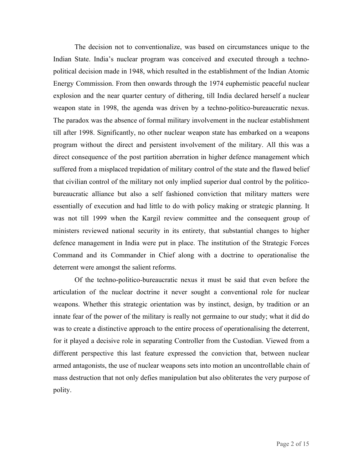The decision not to conventionalize, was based on circumstances unique to the Indian State. India's nuclear program was conceived and executed through a technopolitical decision made in 1948, which resulted in the establishment of the Indian Atomic Energy Commission. From then onwards through the 1974 euphemistic peaceful nuclear explosion and the near quarter century of dithering, till India declared herself a nuclear weapon state in 1998, the agenda was driven by a techno-politico-bureaucratic nexus. The paradox was the absence of formal military involvement in the nuclear establishment till after 1998. Significantly, no other nuclear weapon state has embarked on a weapons program without the direct and persistent involvement of the military. All this was a direct consequence of the post partition aberration in higher defence management which suffered from a misplaced trepidation of military control of the state and the flawed belief that civilian control of the military not only implied superior dual control by the politicobureaucratic alliance but also a self fashioned conviction that military matters were essentially of execution and had little to do with policy making or strategic planning. It was not till 1999 when the Kargil review committee and the consequent group of ministers reviewed national security in its entirety, that substantial changes to higher defence management in India were put in place. The institution of the Strategic Forces Command and its Commander in Chief along with a doctrine to operationalise the deterrent were amongst the salient reforms.

Of the techno-politico-bureaucratic nexus it must be said that even before the articulation of the nuclear doctrine it never sought a conventional role for nuclear weapons. Whether this strategic orientation was by instinct, design, by tradition or an innate fear of the power of the military is really not germaine to our study; what it did do was to create a distinctive approach to the entire process of operationalising the deterrent, for it played a decisive role in separating Controller from the Custodian. Viewed from a different perspective this last feature expressed the conviction that, between nuclear armed antagonists, the use of nuclear weapons sets into motion an uncontrollable chain of mass destruction that not only defies manipulation but also obliterates the very purpose of polity.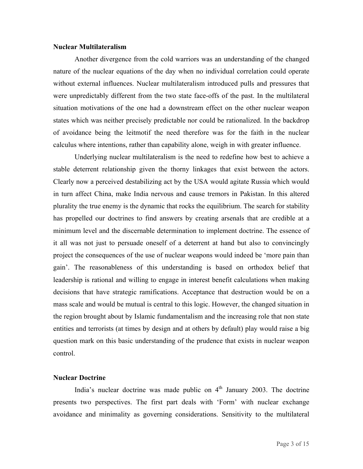#### **Nuclear Multilateralism**

Another divergence from the cold warriors was an understanding of the changed nature of the nuclear equations of the day when no individual correlation could operate without external influences. Nuclear multilateralism introduced pulls and pressures that were unpredictably different from the two state face-offs of the past. In the multilateral situation motivations of the one had a downstream effect on the other nuclear weapon states which was neither precisely predictable nor could be rationalized. In the backdrop of avoidance being the leitmotif the need therefore was for the faith in the nuclear calculus where intentions, rather than capability alone, weigh in with greater influence.

Underlying nuclear multilateralism is the need to redefine how best to achieve a stable deterrent relationship given the thorny linkages that exist between the actors. Clearly now a perceived destabilizing act by the USA would agitate Russia which would in turn affect China, make India nervous and cause tremors in Pakistan. In this altered plurality the true enemy is the dynamic that rocks the equilibrium. The search for stability has propelled our doctrines to find answers by creating arsenals that are credible at a minimum level and the discernable determination to implement doctrine. The essence of it all was not just to persuade oneself of a deterrent at hand but also to convincingly project the consequences of the use of nuclear weapons would indeed be 'more pain than gain'. The reasonableness of this understanding is based on orthodox belief that leadership is rational and willing to engage in interest benefit calculations when making decisions that have strategic ramifications. Acceptance that destruction would be on a mass scale and would be mutual is central to this logic. However, the changed situation in the region brought about by Islamic fundamentalism and the increasing role that non state entities and terrorists (at times by design and at others by default) play would raise a big question mark on this basic understanding of the prudence that exists in nuclear weapon control.

# **Nuclear Doctrine**

India's nuclear doctrine was made public on  $4<sup>th</sup>$  January 2003. The doctrine presents two perspectives. The first part deals with 'Form' with nuclear exchange avoidance and minimality as governing considerations. Sensitivity to the multilateral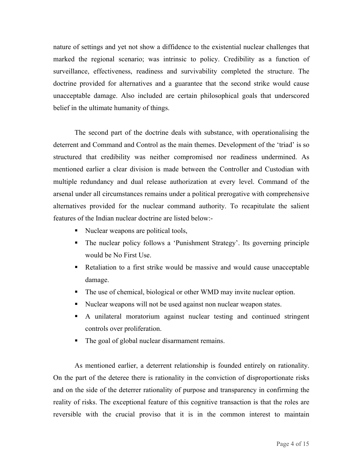nature of settings and yet not show a diffidence to the existential nuclear challenges that marked the regional scenario; was intrinsic to policy. Credibility as a function of surveillance, effectiveness, readiness and survivability completed the structure. The doctrine provided for alternatives and a guarantee that the second strike would cause unacceptable damage. Also included are certain philosophical goals that underscored belief in the ultimate humanity of things.

The second part of the doctrine deals with substance, with operationalising the deterrent and Command and Control as the main themes. Development of the 'triad' is so structured that credibility was neither compromised nor readiness undermined. As mentioned earlier a clear division is made between the Controller and Custodian with multiple redundancy and dual release authorization at every level. Command of the arsenal under all circumstances remains under a political prerogative with comprehensive alternatives provided for the nuclear command authority. To recapitulate the salient features of the Indian nuclear doctrine are listed below:-

- Nuclear weapons are political tools,
- The nuclear policy follows a 'Punishment Strategy'. Its governing principle would be No First Use.
- Retaliation to a first strike would be massive and would cause unacceptable damage.
- The use of chemical, biological or other WMD may invite nuclear option.
- Nuclear weapons will not be used against non nuclear weapon states.
- A unilateral moratorium against nuclear testing and continued stringent controls over proliferation.
- The goal of global nuclear disarmament remains.

As mentioned earlier, a deterrent relationship is founded entirely on rationality. On the part of the deteree there is rationality in the conviction of disproportionate risks and on the side of the deterrer rationality of purpose and transparency in confirming the reality of risks. The exceptional feature of this cognitive transaction is that the roles are reversible with the crucial proviso that it is in the common interest to maintain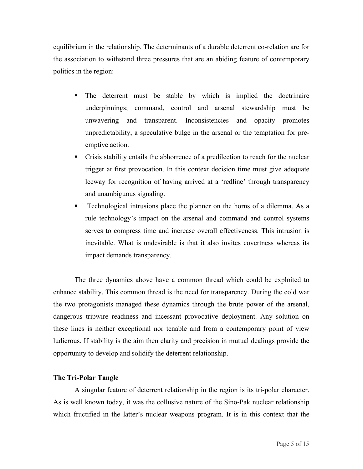equilibrium in the relationship. The determinants of a durable deterrent co-relation are for the association to withstand three pressures that are an abiding feature of contemporary politics in the region:

- The deterrent must be stable by which is implied the doctrinaire underpinnings; command, control and arsenal stewardship must be unwavering and transparent. Inconsistencies and opacity promotes unpredictability, a speculative bulge in the arsenal or the temptation for preemptive action.
- Crisis stability entails the abhorrence of a predilection to reach for the nuclear trigger at first provocation. In this context decision time must give adequate leeway for recognition of having arrived at a 'redline' through transparency and unambiguous signaling.
- Technological intrusions place the planner on the horns of a dilemma. As a rule technology's impact on the arsenal and command and control systems serves to compress time and increase overall effectiveness. This intrusion is inevitable. What is undesirable is that it also invites covertness whereas its impact demands transparency.

The three dynamics above have a common thread which could be exploited to enhance stability. This common thread is the need for transparency. During the cold war the two protagonists managed these dynamics through the brute power of the arsenal, dangerous tripwire readiness and incessant provocative deployment. Any solution on these lines is neither exceptional nor tenable and from a contemporary point of view ludicrous. If stability is the aim then clarity and precision in mutual dealings provide the opportunity to develop and solidify the deterrent relationship.

# **The Tri-Polar Tangle**

A singular feature of deterrent relationship in the region is its tri-polar character. As is well known today, it was the collusive nature of the Sino-Pak nuclear relationship which fructified in the latter's nuclear weapons program. It is in this context that the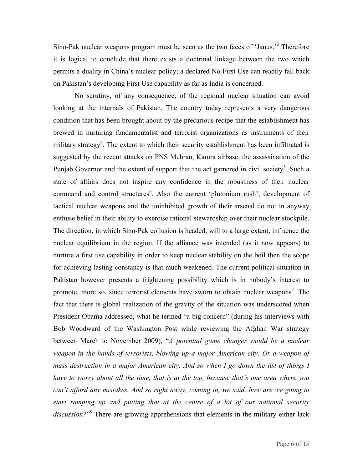Sino-Pak nuclear weapons program must be seen as the two faces of 'Janus.'<sup>3</sup> Therefore it is logical to conclude that there exists a doctrinal linkage between the two which permits a duality in China's nuclear policy; a declared No First Use can readily fall back on Pakistan's developing First Use capability as far as India is concerned.

No scrutiny, of any consequence, of the regional nuclear situation can avoid looking at the internals of Pakistan. The country today represents a very dangerous condition that has been brought about by the precarious recipe that the establishment has brewed in nurturing fundamentalist and terrorist organizations as instruments of their military strategy<sup>4</sup>. The extent to which their security establishment has been infiltrated is suggested by the recent attacks on PNS Mehran, Kamra airbase, the assassination of the Punjab Governor and the extent of support that the act garnered in civil society<sup>5</sup>. Such a state of affairs does not inspire any confidence in the robustness of their nuclear command and control structures<sup>6</sup>. Also the current 'plutonium rush', development of tactical nuclear weapons and the uninhibited growth of their arsenal do not in anyway enthuse belief in their ability to exercise rational stewardship over their nuclear stockpile. The direction, in which Sino-Pak collusion is headed, will to a large extent, influence the nuclear equilibrium in the region. If the alliance was intended (as it now appears) to nurture a first use capability in order to keep nuclear stability on the boil then the scope for achieving lasting constancy is that much weakened. The current political situation in Pakistan however presents a frightening possibility which is in nobody's interest to promote, more so, since terrorist elements have sworn to obtain nuclear weapons<sup>7</sup>. The fact that there is global realization of the gravity of the situation was underscored when President Obama addressed, what he termed "a big concern" (during his interviews with Bob Woodward of the Washington Post while reviewing the Afghan War strategy between March to November 2009), "*A potential game changer would be a nuclear*  weapon in the hands of terrorists, blowing up a major American city. Or a weapon of *mass destruction in a major American city. And so when I go down the list of things I have to worry about all the time, that is at the top, because that's one area where you can't afford any mistakes. And so right away, coming in, we said, how are we going to start ramping up and putting that at the centre of a lot of our national security discussion?*" <sup>8</sup> There are growing apprehensions that elements in the military either lack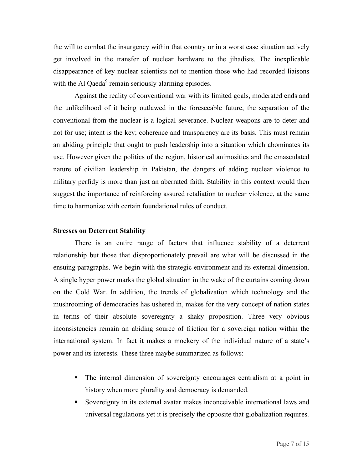the will to combat the insurgency within that country or in a worst case situation actively get involved in the transfer of nuclear hardware to the jihadists. The inexplicable disappearance of key nuclear scientists not to mention those who had recorded liaisons with the Al Qaeda<sup>9</sup> remain seriously alarming episodes.

Against the reality of conventional war with its limited goals, moderated ends and the unlikelihood of it being outlawed in the foreseeable future, the separation of the conventional from the nuclear is a logical severance. Nuclear weapons are to deter and not for use; intent is the key; coherence and transparency are its basis. This must remain an abiding principle that ought to push leadership into a situation which abominates its use. However given the politics of the region, historical animosities and the emasculated nature of civilian leadership in Pakistan, the dangers of adding nuclear violence to military perfidy is more than just an aberrated faith. Stability in this context would then suggest the importance of reinforcing assured retaliation to nuclear violence, at the same time to harmonize with certain foundational rules of conduct.

# **Stresses on Deterrent Stability**

There is an entire range of factors that influence stability of a deterrent relationship but those that disproportionately prevail are what will be discussed in the ensuing paragraphs. We begin with the strategic environment and its external dimension. A single hyper power marks the global situation in the wake of the curtains coming down on the Cold War. In addition, the trends of globalization which technology and the mushrooming of democracies has ushered in, makes for the very concept of nation states in terms of their absolute sovereignty a shaky proposition. Three very obvious inconsistencies remain an abiding source of friction for a sovereign nation within the international system. In fact it makes a mockery of the individual nature of a state's power and its interests. These three maybe summarized as follows:

- The internal dimension of sovereignty encourages centralism at a point in history when more plurality and democracy is demanded.
- Sovereignty in its external avatar makes inconceivable international laws and universal regulations yet it is precisely the opposite that globalization requires.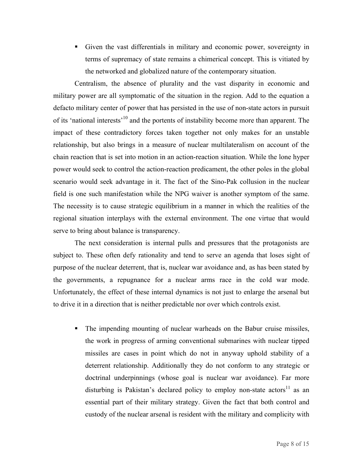Given the vast differentials in military and economic power, sovereignty in terms of supremacy of state remains a chimerical concept. This is vitiated by the networked and globalized nature of the contemporary situation.

Centralism, the absence of plurality and the vast disparity in economic and military power are all symptomatic of the situation in the region. Add to the equation a defacto military center of power that has persisted in the use of non-state actors in pursuit of its 'national interests'10 and the portents of instability become more than apparent. The impact of these contradictory forces taken together not only makes for an unstable relationship, but also brings in a measure of nuclear multilateralism on account of the chain reaction that is set into motion in an action-reaction situation. While the lone hyper power would seek to control the action-reaction predicament, the other poles in the global scenario would seek advantage in it. The fact of the Sino-Pak collusion in the nuclear field is one such manifestation while the NPG waiver is another symptom of the same. The necessity is to cause strategic equilibrium in a manner in which the realities of the regional situation interplays with the external environment. The one virtue that would serve to bring about balance is transparency.

The next consideration is internal pulls and pressures that the protagonists are subject to. These often defy rationality and tend to serve an agenda that loses sight of purpose of the nuclear deterrent, that is, nuclear war avoidance and, as has been stated by the governments, a repugnance for a nuclear arms race in the cold war mode. Unfortunately, the effect of these internal dynamics is not just to enlarge the arsenal but to drive it in a direction that is neither predictable nor over which controls exist.

• The impending mounting of nuclear warheads on the Babur cruise missiles, the work in progress of arming conventional submarines with nuclear tipped missiles are cases in point which do not in anyway uphold stability of a deterrent relationship. Additionally they do not conform to any strategic or doctrinal underpinnings (whose goal is nuclear war avoidance). Far more disturbing is Pakistan's declared policy to employ non-state actors<sup>11</sup> as an essential part of their military strategy. Given the fact that both control and custody of the nuclear arsenal is resident with the military and complicity with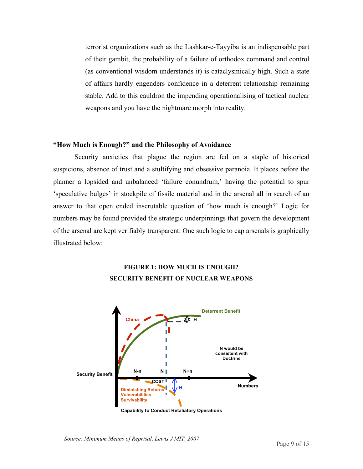terrorist organizations such as the Lashkar-e-Tayyiba is an indispensable part of their gambit, the probability of a failure of orthodox command and control (as conventional wisdom understands it) is cataclysmically high. Such a state of affairs hardly engenders confidence in a deterrent relationship remaining stable. Add to this cauldron the impending operationalising of tactical nuclear weapons and you have the nightmare morph into reality.

### **"How Much is Enough?" and the Philosophy of Avoidance**

Security anxieties that plague the region are fed on a staple of historical suspicions, absence of trust and a stultifying and obsessive paranoia. It places before the planner a lopsided and unbalanced 'failure conundrum,' having the potential to spur 'speculative bulges' in stockpile of fissile material and in the arsenal all in search of an answer to that open ended inscrutable question of 'how much is enough?' Logic for numbers may be found provided the strategic underpinnings that govern the development of the arsenal are kept verifiably transparent. One such logic to cap arsenals is graphically illustrated below:

# **FIGURE 1: HOW MUCH IS ENOUGH? SECURITY BENEFIT OF NUCLEAR WEAPONS**



**Capability to Conduct Retaliatory Operations**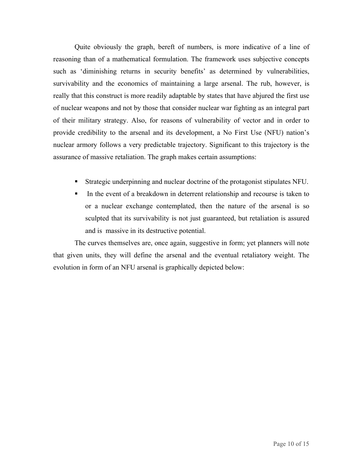Quite obviously the graph, bereft of numbers, is more indicative of a line of reasoning than of a mathematical formulation. The framework uses subjective concepts such as 'diminishing returns in security benefits' as determined by vulnerabilities, survivability and the economics of maintaining a large arsenal. The rub, however, is really that this construct is more readily adaptable by states that have abjured the first use of nuclear weapons and not by those that consider nuclear war fighting as an integral part of their military strategy. Also, for reasons of vulnerability of vector and in order to provide credibility to the arsenal and its development, a No First Use (NFU) nation's nuclear armory follows a very predictable trajectory. Significant to this trajectory is the assurance of massive retaliation. The graph makes certain assumptions:

- Strategic underpinning and nuclear doctrine of the protagonist stipulates NFU.
- In the event of a breakdown in deterrent relationship and recourse is taken to or a nuclear exchange contemplated, then the nature of the arsenal is so sculpted that its survivability is not just guaranteed, but retaliation is assured and is massive in its destructive potential.

 The curves themselves are, once again, suggestive in form; yet planners will note that given units, they will define the arsenal and the eventual retaliatory weight. The evolution in form of an NFU arsenal is graphically depicted below: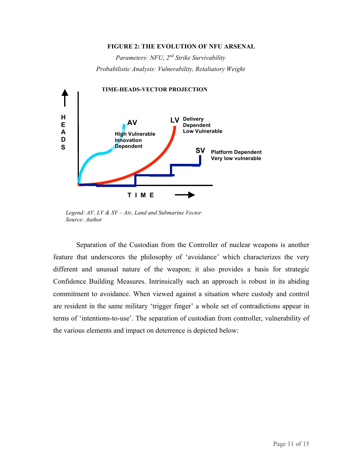#### **FIGURE 2: THE EVOLUTION OF NFU ARSENAL**

*Parameters: NFU, 2nd Strike Survivability Probabilistic Analysis: Vulnerability, Retaliatory Weight*



 *Legend: AV, LV & SV – Air, Land and Submarine Vector Source: Author*

Separation of the Custodian from the Controller of nuclear weapons is another feature that underscores the philosophy of 'avoidance' which characterizes the very different and unusual nature of the weapon; it also provides a basis for strategic Confidence Building Measures. Intrinsically such an approach is robust in its abiding commitment to avoidance. When viewed against a situation where custody and control are resident in the same military 'trigger finger' a whole set of contradictions appear in terms of 'intentions-to-use'. The separation of custodian from controller, vulnerability of the various elements and impact on deterrence is depicted below: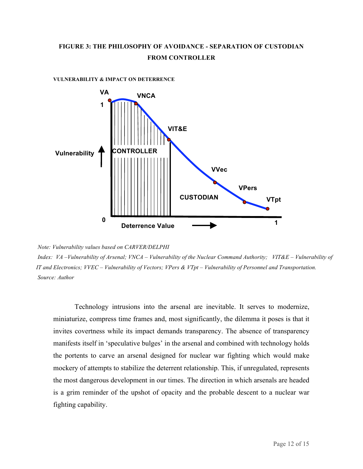# **FIGURE 3: THE PHILOSOPHY OF AVOIDANCE - SEPARATION OF CUSTODIAN FROM CONTROLLER**



**VULNERABILITY & IMPACT ON DETERRENCE**

*Index: VA –Vulnerability of Arsenal; VNCA – Vulnerability of the Nuclear Command Authority; VIT&E – Vulnerability of IT and Electronics; VVEC – Vulnerability of Vectors; VPers & VTpt – Vulnerability of Personnel and Transportation. Source: Author*

Technology intrusions into the arsenal are inevitable. It serves to modernize, miniaturize, compress time frames and, most significantly, the dilemma it poses is that it invites covertness while its impact demands transparency. The absence of transparency manifests itself in 'speculative bulges' in the arsenal and combined with technology holds the portents to carve an arsenal designed for nuclear war fighting which would make mockery of attempts to stabilize the deterrent relationship. This, if unregulated, represents the most dangerous development in our times. The direction in which arsenals are headed is a grim reminder of the upshot of opacity and the probable descent to a nuclear war fighting capability.

*Note: Vulnerability values based on CARVER/DELPHI*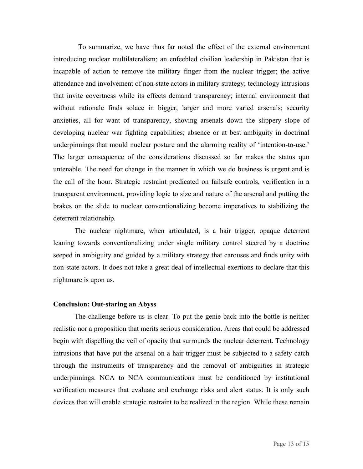To summarize, we have thus far noted the effect of the external environment introducing nuclear multilateralism; an enfeebled civilian leadership in Pakistan that is incapable of action to remove the military finger from the nuclear trigger; the active attendance and involvement of non-state actors in military strategy; technology intrusions that invite covertness while its effects demand transparency; internal environment that without rationale finds solace in bigger, larger and more varied arsenals; security anxieties, all for want of transparency, shoving arsenals down the slippery slope of developing nuclear war fighting capabilities; absence or at best ambiguity in doctrinal underpinnings that mould nuclear posture and the alarming reality of 'intention-to-use.' The larger consequence of the considerations discussed so far makes the status quo untenable. The need for change in the manner in which we do business is urgent and is the call of the hour. Strategic restraint predicated on failsafe controls, verification in a transparent environment, providing logic to size and nature of the arsenal and putting the brakes on the slide to nuclear conventionalizing become imperatives to stabilizing the deterrent relationship.

The nuclear nightmare, when articulated, is a hair trigger, opaque deterrent leaning towards conventionalizing under single military control steered by a doctrine seeped in ambiguity and guided by a military strategy that carouses and finds unity with non-state actors. It does not take a great deal of intellectual exertions to declare that this nightmare is upon us.

### **Conclusion: Out-staring an Abyss**

The challenge before us is clear. To put the genie back into the bottle is neither realistic nor a proposition that merits serious consideration. Areas that could be addressed begin with dispelling the veil of opacity that surrounds the nuclear deterrent. Technology intrusions that have put the arsenal on a hair trigger must be subjected to a safety catch through the instruments of transparency and the removal of ambiguities in strategic underpinnings. NCA to NCA communications must be conditioned by institutional verification measures that evaluate and exchange risks and alert status. It is only such devices that will enable strategic restraint to be realized in the region. While these remain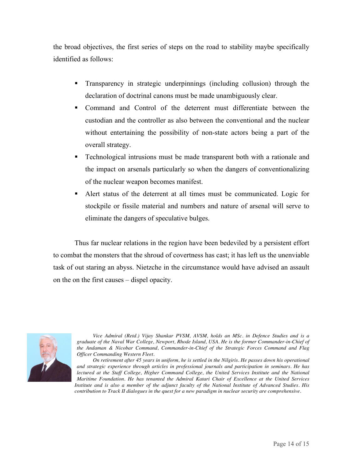the broad objectives, the first series of steps on the road to stability maybe specifically identified as follows:

- Transparency in strategic underpinnings (including collusion) through the declaration of doctrinal canons must be made unambiguously clear.
- Command and Control of the deterrent must differentiate between the custodian and the controller as also between the conventional and the nuclear without entertaining the possibility of non-state actors being a part of the overall strategy.
- **Technological intrusions must be made transparent both with a rationale and** the impact on arsenals particularly so when the dangers of conventionalizing of the nuclear weapon becomes manifest.
- Alert status of the deterrent at all times must be communicated. Logic for stockpile or fissile material and numbers and nature of arsenal will serve to eliminate the dangers of speculative bulges.

Thus far nuclear relations in the region have been bedeviled by a persistent effort to combat the monsters that the shroud of covertness has cast; it has left us the unenviable task of out staring an abyss. Nietzche in the circumstance would have advised an assault on the on the first causes – dispel opacity.



*Vice Admiral (Retd.) Vijay Shankar PVSM, AVSM, holds an MSc. in Defence Studies and is a graduate of the Naval War College, Newport, Rhode Island, USA. He is the former Commander-in-Chief of the Andaman & Nicobar Command, Commander-in-Chief of the Strategic Forces Command and Flag Officer Commanding Western Fleet.* 

*On retirement after 45 years in uniform, he is settled in the Nilgiris. He passes down his operational and strategic experience through articles in professional journals and participation in seminars. He has lectured at the Staff College, Higher Command College, the United Services Institute and the National Maritime Foundation. He has tenanted the Admiral Katari Chair of Excellence at the United Services Institute and is also a member of the adjunct faculty of the National Institute of Advanced Studies. His contribution to Track II dialogues in the quest for a new paradigm in nuclear security are comprehensive.*